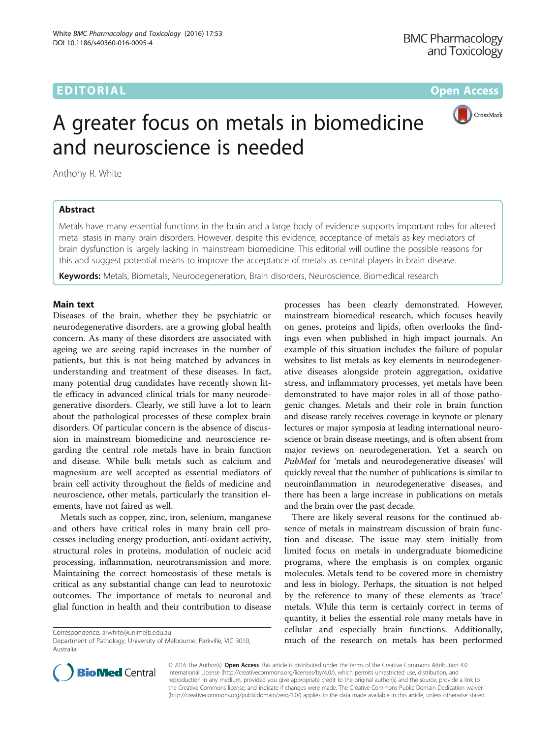## EDITORIAL AND INTERNATIONAL CONTRACT CONTRACT CONTRACT CONTRACT CONTRACT CONTRACT CONTRACT CONTRACT CONTRACT CO



# A greater focus on metals in biomedicine and neuroscience is needed

Anthony R. White

## Abstract

Metals have many essential functions in the brain and a large body of evidence supports important roles for altered metal stasis in many brain disorders. However, despite this evidence, acceptance of metals as key mediators of brain dysfunction is largely lacking in mainstream biomedicine. This editorial will outline the possible reasons for this and suggest potential means to improve the acceptance of metals as central players in brain disease.

Keywords: Metals, Biometals, Neurodegeneration, Brain disorders, Neuroscience, Biomedical research

## Main text

Diseases of the brain, whether they be psychiatric or neurodegenerative disorders, are a growing global health concern. As many of these disorders are associated with ageing we are seeing rapid increases in the number of patients, but this is not being matched by advances in understanding and treatment of these diseases. In fact, many potential drug candidates have recently shown little efficacy in advanced clinical trials for many neurodegenerative disorders. Clearly, we still have a lot to learn about the pathological processes of these complex brain disorders. Of particular concern is the absence of discussion in mainstream biomedicine and neuroscience regarding the central role metals have in brain function and disease. While bulk metals such as calcium and magnesium are well accepted as essential mediators of brain cell activity throughout the fields of medicine and neuroscience, other metals, particularly the transition elements, have not faired as well.

Metals such as copper, zinc, iron, selenium, manganese and others have critical roles in many brain cell processes including energy production, anti-oxidant activity, structural roles in proteins, modulation of nucleic acid processing, inflammation, neurotransmission and more. Maintaining the correct homeostasis of these metals is critical as any substantial change can lead to neurotoxic outcomes. The importance of metals to neuronal and glial function in health and their contribution to disease

Correspondence: [arwhite@unimelb.edu.au](mailto:arwhite@unimelb.edu.au)

processes has been clearly demonstrated. However, mainstream biomedical research, which focuses heavily on genes, proteins and lipids, often overlooks the findings even when published in high impact journals. An example of this situation includes the failure of popular websites to list metals as key elements in neurodegenerative diseases alongside protein aggregation, oxidative stress, and inflammatory processes, yet metals have been demonstrated to have major roles in all of those pathogenic changes. Metals and their role in brain function and disease rarely receives coverage in keynote or plenary lectures or major symposia at leading international neuroscience or brain disease meetings, and is often absent from major reviews on neurodegeneration. Yet a search on PubMed for 'metals and neurodegenerative diseases' will quickly reveal that the number of publications is similar to neuroinflammation in neurodegenerative diseases, and there has been a large increase in publications on metals and the brain over the past decade.

There are likely several reasons for the continued absence of metals in mainstream discussion of brain function and disease. The issue may stem initially from limited focus on metals in undergraduate biomedicine programs, where the emphasis is on complex organic molecules. Metals tend to be covered more in chemistry and less in biology. Perhaps, the situation is not helped by the reference to many of these elements as 'trace' metals. While this term is certainly correct in terms of quantity, it belies the essential role many metals have in cellular and especially brain functions. Additionally, much of the research on metals has been performed



© 2016 The Author(s). Open Access This article is distributed under the terms of the Creative Commons Attribution 4.0 International License [\(http://creativecommons.org/licenses/by/4.0/](http://creativecommons.org/licenses/by/4.0/)), which permits unrestricted use, distribution, and reproduction in any medium, provided you give appropriate credit to the original author(s) and the source, provide a link to the Creative Commons license, and indicate if changes were made. The Creative Commons Public Domain Dedication waiver [\(http://creativecommons.org/publicdomain/zero/1.0/](http://creativecommons.org/publicdomain/zero/1.0/)) applies to the data made available in this article, unless otherwise stated.

Department of Pathology, University of Melbourne, Parkville, VIC 3010, Australia